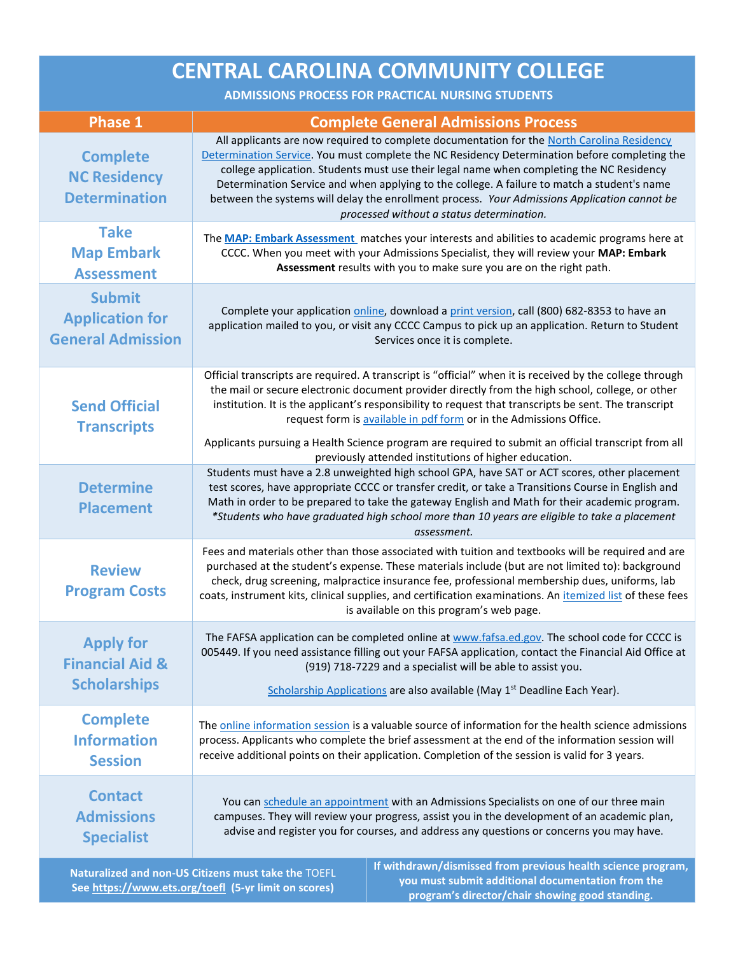| <b>Phase 1</b><br><b>Complete General Admissions Process</b><br><b>Complete</b><br>college application. Students must use their legal name when completing the NC Residency<br><b>NC Residency</b><br><b>Determination</b><br>processed without a status determination.<br><b>Take</b><br><b>Map Embark</b><br>CCCC. When you meet with your Admissions Specialist, they will review your MAP: Embark<br>Assessment results with you to make sure you are on the right path.<br><b>Assessment</b><br><b>Submit</b><br>Complete your application online, download a print version, call (800) 682-8353 to have an<br><b>Application for</b><br><b>General Admission</b><br>Services once it is complete. | <b>CENTRAL CAROLINA COMMUNITY COLLEGE</b><br><b>ADMISSIONS PROCESS FOR PRACTICAL NURSING STUDENTS</b> |                                                                                                                                                                                                                                                                                                                                                                                                                              |  |
|---------------------------------------------------------------------------------------------------------------------------------------------------------------------------------------------------------------------------------------------------------------------------------------------------------------------------------------------------------------------------------------------------------------------------------------------------------------------------------------------------------------------------------------------------------------------------------------------------------------------------------------------------------------------------------------------------------|-------------------------------------------------------------------------------------------------------|------------------------------------------------------------------------------------------------------------------------------------------------------------------------------------------------------------------------------------------------------------------------------------------------------------------------------------------------------------------------------------------------------------------------------|--|
|                                                                                                                                                                                                                                                                                                                                                                                                                                                                                                                                                                                                                                                                                                         |                                                                                                       |                                                                                                                                                                                                                                                                                                                                                                                                                              |  |
|                                                                                                                                                                                                                                                                                                                                                                                                                                                                                                                                                                                                                                                                                                         |                                                                                                       | All applicants are now required to complete documentation for the North Carolina Residency<br>Determination Service. You must complete the NC Residency Determination before completing the<br>Determination Service and when applying to the college. A failure to match a student's name<br>between the systems will delay the enrollment process. Your Admissions Application cannot be                                   |  |
|                                                                                                                                                                                                                                                                                                                                                                                                                                                                                                                                                                                                                                                                                                         |                                                                                                       | The MAP: Embark Assessment matches your interests and abilities to academic programs here at                                                                                                                                                                                                                                                                                                                                 |  |
|                                                                                                                                                                                                                                                                                                                                                                                                                                                                                                                                                                                                                                                                                                         |                                                                                                       | application mailed to you, or visit any CCCC Campus to pick up an application. Return to Student                                                                                                                                                                                                                                                                                                                             |  |
| <b>Send Official</b><br>request form is available in pdf form or in the Admissions Office.<br><b>Transcripts</b>                                                                                                                                                                                                                                                                                                                                                                                                                                                                                                                                                                                        |                                                                                                       | Official transcripts are required. A transcript is "official" when it is received by the college through<br>the mail or secure electronic document provider directly from the high school, college, or other<br>institution. It is the applicant's responsibility to request that transcripts be sent. The transcript<br>Applicants pursuing a Health Science program are required to submit an official transcript from all |  |
| previously attended institutions of higher education.<br><b>Determine</b><br><b>Placement</b><br>assessment.                                                                                                                                                                                                                                                                                                                                                                                                                                                                                                                                                                                            |                                                                                                       | Students must have a 2.8 unweighted high school GPA, have SAT or ACT scores, other placement<br>test scores, have appropriate CCCC or transfer credit, or take a Transitions Course in English and<br>Math in order to be prepared to take the gateway English and Math for their academic program.<br>*Students who have graduated high school more than 10 years are eligible to take a placement                          |  |
| <b>Review</b><br><b>Program Costs</b><br>is available on this program's web page.                                                                                                                                                                                                                                                                                                                                                                                                                                                                                                                                                                                                                       |                                                                                                       | Fees and materials other than those associated with tuition and textbooks will be required and are<br>purchased at the student's expense. These materials include (but are not limited to): background<br>check, drug screening, malpractice insurance fee, professional membership dues, uniforms, lab<br>coats, instrument kits, clinical supplies, and certification examinations. An itemized list of these fees         |  |
| <b>Apply for</b><br><b>Financial Aid &amp;</b><br>(919) 718-7229 and a specialist will be able to assist you.<br><b>Scholarships</b><br>Scholarship Applications are also available (May 1 <sup>st</sup> Deadline Each Year).                                                                                                                                                                                                                                                                                                                                                                                                                                                                           |                                                                                                       | The FAFSA application can be completed online at www.fafsa.ed.gov. The school code for CCCC is<br>005449. If you need assistance filling out your FAFSA application, contact the Financial Aid Office at                                                                                                                                                                                                                     |  |
| <b>Complete</b><br><b>Information</b><br>process. Applicants who complete the brief assessment at the end of the information session will<br>receive additional points on their application. Completion of the session is valid for 3 years.<br><b>Session</b>                                                                                                                                                                                                                                                                                                                                                                                                                                          |                                                                                                       | The online information session is a valuable source of information for the health science admissions                                                                                                                                                                                                                                                                                                                         |  |
| <b>Contact</b><br>You can schedule an appointment with an Admissions Specialists on one of our three main<br><b>Admissions</b><br>advise and register you for courses, and address any questions or concerns you may have.<br><b>Specialist</b>                                                                                                                                                                                                                                                                                                                                                                                                                                                         |                                                                                                       | campuses. They will review your progress, assist you in the development of an academic plan,<br>If withdrawn/dismissed from previous health science program                                                                                                                                                                                                                                                                  |  |

**Naturalized and non-US Citizens must take the** TOEFL **Se[e https://www.ets.org/toefl](https://www.google.com/url?q=https://www.ets.org/toefl&sa=D&source=hangouts&ust=1567012252154000&usg=AFQjCNGHbUeqGf6t56c-qWQle5FqcGUTEA) (5-yr limit on scores)**

**If withdrawn/dismissed from previous health science program, you must submit additional documentation from the program's director/chair showing good standing.**